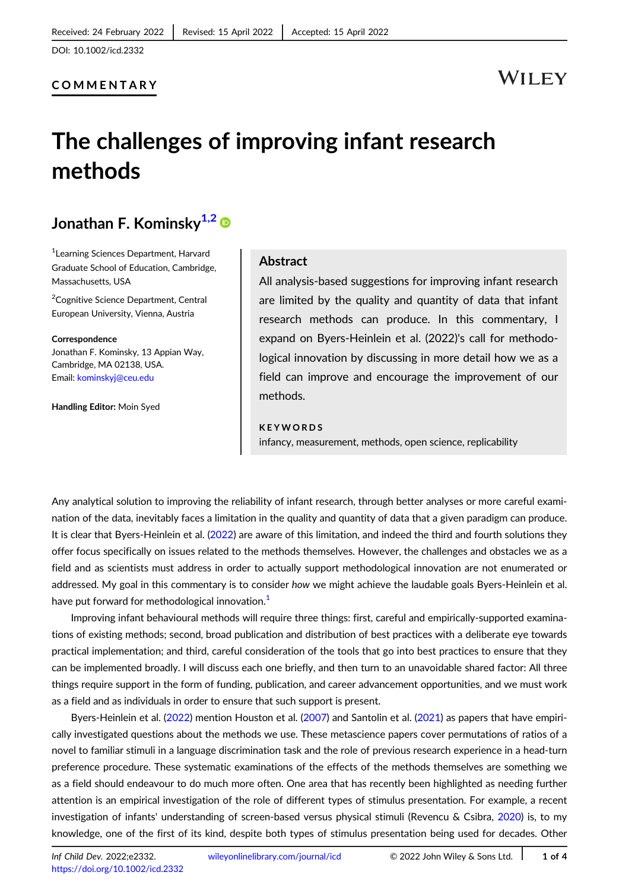## COMMENTARY

# **WILEY**

# The challenges of improving infant research methods

## Jonathan F. Kominsky<sup>1,2</sup>

1 Learning Sciences Department, Harvard Graduate School of Education, Cambridge, Massachusetts, USA

<sup>2</sup>Cognitive Science Department, Central European University, Vienna, Austria

Correspondence Jonathan F. Kominsky, 13 Appian Way, Cambridge, MA 02138, USA. Email: [kominskyj@ceu.edu](mailto:kominskyj@ceu.edu)

Handling Editor: Moin Syed

### Abstract

All analysis-based suggestions for improving infant research are limited by the quality and quantity of data that infant research methods can produce. In this commentary, I expand on Byers-Heinlein et al. (2022)'s call for methodological innovation by discussing in more detail how we as a field can improve and encourage the improvement of our methods.

### KEYWORDS

infancy, measurement, methods, open science, replicability

Any analytical solution to improving the reliability of infant research, through better analyses or more careful examination of the data, inevitably faces a limitation in the quality and quantity of data that a given paradigm can produce. It is clear that Byers-Heinlein et al. ([2022\)](#page-2-0) are aware of this limitation, and indeed the third and fourth solutions they offer focus specifically on issues related to the methods themselves. However, the challenges and obstacles we as a field and as scientists must address in order to actually support methodological innovation are not enumerated or addressed. My goal in this commentary is to consider how we might achieve the laudable goals Byers-Heinlein et al. have put forward for methodological innovation.<sup>1</sup>

Improving infant behavioural methods will require three things: first, careful and empirically-supported examinations of existing methods; second, broad publication and distribution of best practices with a deliberate eye towards practical implementation; and third, careful consideration of the tools that go into best practices to ensure that they can be implemented broadly. I will discuss each one briefly, and then turn to an unavoidable shared factor: All three things require support in the form of funding, publication, and career advancement opportunities, and we must work as a field and as individuals in order to ensure that such support is present.

Byers-Heinlein et al. [\(2022\)](#page-2-0) mention Houston et al. ([2007\)](#page-2-0) and Santolin et al. ([2021](#page-3-0)) as papers that have empirically investigated questions about the methods we use. These metascience papers cover permutations of ratios of a novel to familiar stimuli in a language discrimination task and the role of previous research experience in a head-turn preference procedure. These systematic examinations of the effects of the methods themselves are something we as a field should endeavour to do much more often. One area that has recently been highlighted as needing further attention is an empirical investigation of the role of different types of stimulus presentation. For example, a recent investigation of infants' understanding of screen-based versus physical stimuli (Revencu & Csibra, [2020](#page-3-0)) is, to my knowledge, one of the first of its kind, despite both types of stimulus presentation being used for decades. Other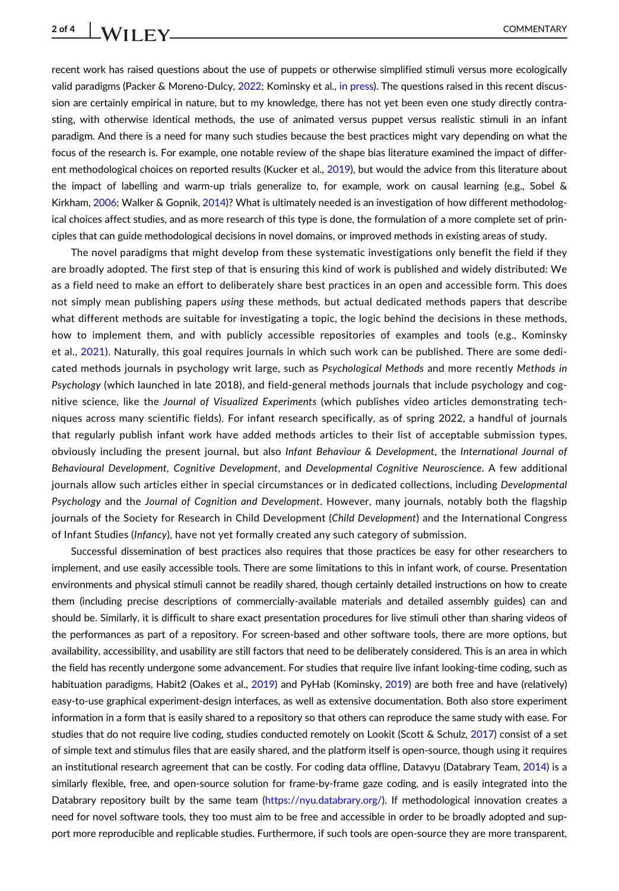recent work has raised questions about the use of puppets or otherwise simplified stimuli versus more ecologically valid paradigms (Packer & Moreno-Dulcy, [2022;](#page-3-0) Kominsky et al., [in press\)](#page-2-0). The questions raised in this recent discussion are certainly empirical in nature, but to my knowledge, there has not yet been even one study directly contrasting, with otherwise identical methods, the use of animated versus puppet versus realistic stimuli in an infant paradigm. And there is a need for many such studies because the best practices might vary depending on what the focus of the research is. For example, one notable review of the shape bias literature examined the impact of different methodological choices on reported results (Kucker et al., [2019](#page-2-0)), but would the advice from this literature about the impact of labelling and warm-up trials generalize to, for example, work on causal learning (e.g., Sobel & Kirkham, [2006](#page-3-0); Walker & Gopnik, [2014\)](#page-3-0)? What is ultimately needed is an investigation of how different methodological choices affect studies, and as more research of this type is done, the formulation of a more complete set of principles that can guide methodological decisions in novel domains, or improved methods in existing areas of study.

The novel paradigms that might develop from these systematic investigations only benefit the field if they are broadly adopted. The first step of that is ensuring this kind of work is published and widely distributed: We as a field need to make an effort to deliberately share best practices in an open and accessible form. This does not simply mean publishing papers using these methods, but actual dedicated methods papers that describe what different methods are suitable for investigating a topic, the logic behind the decisions in these methods, how to implement them, and with publicly accessible repositories of examples and tools (e.g., Kominsky et al., [2021](#page-2-0)). Naturally, this goal requires journals in which such work can be published. There are some dedicated methods journals in psychology writ large, such as Psychological Methods and more recently Methods in Psychology (which launched in late 2018), and field-general methods journals that include psychology and cognitive science, like the Journal of Visualized Experiments (which publishes video articles demonstrating techniques across many scientific fields). For infant research specifically, as of spring 2022, a handful of journals that regularly publish infant work have added methods articles to their list of acceptable submission types, obviously including the present journal, but also Infant Behaviour & Development, the International Journal of Behavioural Development, Cognitive Development, and Developmental Cognitive Neuroscience. A few additional journals allow such articles either in special circumstances or in dedicated collections, including Developmental Psychology and the Journal of Cognition and Development. However, many journals, notably both the flagship journals of the Society for Research in Child Development (Child Development) and the International Congress of Infant Studies (Infancy), have not yet formally created any such category of submission.

Successful dissemination of best practices also requires that those practices be easy for other researchers to implement, and use easily accessible tools. There are some limitations to this in infant work, of course. Presentation environments and physical stimuli cannot be readily shared, though certainly detailed instructions on how to create them (including precise descriptions of commercially-available materials and detailed assembly guides) can and should be. Similarly, it is difficult to share exact presentation procedures for live stimuli other than sharing videos of the performances as part of a repository. For screen-based and other software tools, there are more options, but availability, accessibility, and usability are still factors that need to be deliberately considered. This is an area in which the field has recently undergone some advancement. For studies that require live infant looking-time coding, such as habituation paradigms, Habit2 (Oakes et al., [2019](#page-2-0)) and PyHab (Kominsky, 2019) are both free and have (relatively) easy-to-use graphical experiment-design interfaces, as well as extensive documentation. Both also store experiment information in a form that is easily shared to a repository so that others can reproduce the same study with ease. For studies that do not require live coding, studies conducted remotely on Lookit (Scott & Schulz, [2017\)](#page-3-0) consist of a set of simple text and stimulus files that are easily shared, and the platform itself is open-source, though using it requires an institutional research agreement that can be costly. For coding data offline, Datavyu (Databrary Team, [2014](#page-2-0)) is a similarly flexible, free, and open-source solution for frame-by-frame gaze coding, and is easily integrated into the Databrary repository built by the same team (<https://nyu.databrary.org/>). If methodological innovation creates a need for novel software tools, they too must aim to be free and accessible in order to be broadly adopted and support more reproducible and replicable studies. Furthermore, if such tools are open-source they are more transparent,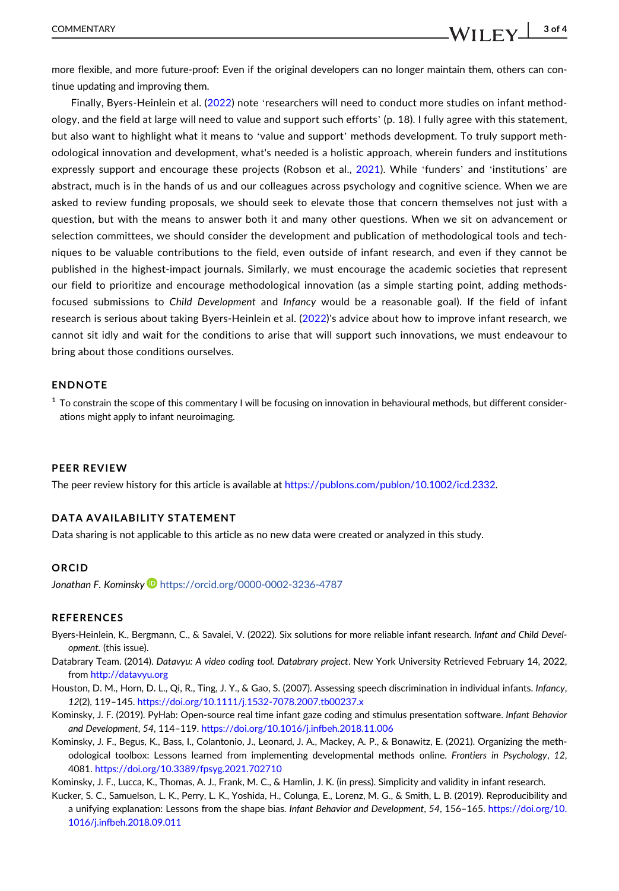<span id="page-2-0"></span>more flexible, and more future-proof: Even if the original developers can no longer maintain them, others can continue updating and improving them.

Finally, Byers-Heinlein et al. (2022) note 'researchers will need to conduct more studies on infant methodology, and the field at large will need to value and support such efforts' (p. 18). I fully agree with this statement, but also want to highlight what it means to 'value and support' methods development. To truly support methodological innovation and development, what's needed is a holistic approach, wherein funders and institutions expressly support and encourage these projects (Robson et al., [2021\)](#page-3-0). While 'funders' and 'institutions' are abstract, much is in the hands of us and our colleagues across psychology and cognitive science. When we are asked to review funding proposals, we should seek to elevate those that concern themselves not just with a question, but with the means to answer both it and many other questions. When we sit on advancement or selection committees, we should consider the development and publication of methodological tools and techniques to be valuable contributions to the field, even outside of infant research, and even if they cannot be published in the highest-impact journals. Similarly, we must encourage the academic societies that represent our field to prioritize and encourage methodological innovation (as a simple starting point, adding methodsfocused submissions to Child Development and Infancy would be a reasonable goal). If the field of infant research is serious about taking Byers-Heinlein et al. (2022)'s advice about how to improve infant research, we cannot sit idly and wait for the conditions to arise that will support such innovations, we must endeavour to bring about those conditions ourselves.

## ENDNOTE

 $1$  To constrain the scope of this commentary I will be focusing on innovation in behavioural methods, but different considerations might apply to infant neuroimaging.

#### PEER REVIEW

The peer review history for this article is available at [https://publons.com/publon/10.1002/icd.2332.](https://publons.com/publon/10.1002/icd.2332)

### DATA AVAILABILITY STATEMENT

Data sharing is not applicable to this article as no new data were created or analyzed in this study.

#### **ORCID**

Jonathan F. Kominsky <https://orcid.org/0000-0002-3236-4787>

#### REFERENCES

- Byers-Heinlein, K., Bergmann, C., & Savalei, V. (2022). Six solutions for more reliable infant research. Infant and Child Development. (this issue).
- Databrary Team. (2014). Datavyu: A video coding tool. Databrary project. New York University Retrieved February 14, 2022, from <http://datavyu.org>
- Houston, D. M., Horn, D. L., Qi, R., Ting, J. Y., & Gao, S. (2007). Assessing speech discrimination in individual infants. Infancy, 12(2), 119–145. <https://doi.org/10.1111/j.1532-7078.2007.tb00237.x>
- Kominsky, J. F. (2019). PyHab: Open-source real time infant gaze coding and stimulus presentation software. Infant Behavior and Development, 54, 114–119. <https://doi.org/10.1016/j.infbeh.2018.11.006>
- Kominsky, J. F., Begus, K., Bass, I., Colantonio, J., Leonard, J. A., Mackey, A. P., & Bonawitz, E. (2021). Organizing the methodological toolbox: Lessons learned from implementing developmental methods online. Frontiers in Psychology, 12, 4081. <https://doi.org/10.3389/fpsyg.2021.702710>

Kominsky, J. F., Lucca, K., Thomas, A. J., Frank, M. C., & Hamlin, J. K. (in press). Simplicity and validity in infant research.

Kucker, S. C., Samuelson, L. K., Perry, L. K., Yoshida, H., Colunga, E., Lorenz, M. G., & Smith, L. B. (2019). Reproducibility and a unifying explanation: Lessons from the shape bias. Infant Behavior and Development, 54, 156–165. [https://doi.org/10.](https://doi.org/10.1016/j.infbeh.2018.09.011) [1016/j.infbeh.2018.09.011](https://doi.org/10.1016/j.infbeh.2018.09.011)